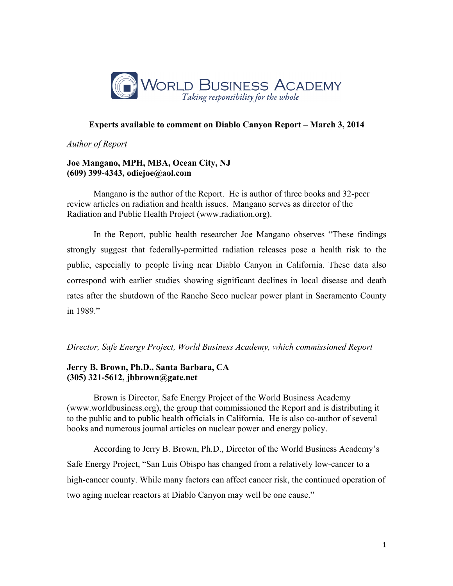

# **Experts available to comment on Diablo Canyon Report – March 3, 2014**

#### *Author of Report*

## **Joe Mangano, MPH, MBA, Ocean City, NJ (609) 399-4343, odiejoe@aol.com**

Mangano is the author of the Report. He is author of three books and 32-peer review articles on radiation and health issues. Mangano serves as director of the Radiation and Public Health Project (www.radiation.org).

In the Report, public health researcher Joe Mangano observes "These findings strongly suggest that federally-permitted radiation releases pose a health risk to the public, especially to people living near Diablo Canyon in California. These data also correspond with earlier studies showing significant declines in local disease and death rates after the shutdown of the Rancho Seco nuclear power plant in Sacramento County in 1989."

# *Director, Safe Energy Project, World Business Academy, which commissioned Report*

# **Jerry B. Brown, Ph.D., Santa Barbara, CA (305) 321-5612, jbbrown@gate.net**

Brown is Director, Safe Energy Project of the World Business Academy (www.worldbusiness.org), the group that commissioned the Report and is distributing it to the public and to public health officials in California. He is also co-author of several books and numerous journal articles on nuclear power and energy policy.

According to Jerry B. Brown, Ph.D., Director of the World Business Academy's Safe Energy Project, "San Luis Obispo has changed from a relatively low-cancer to a high-cancer county. While many factors can affect cancer risk, the continued operation of two aging nuclear reactors at Diablo Canyon may well be one cause."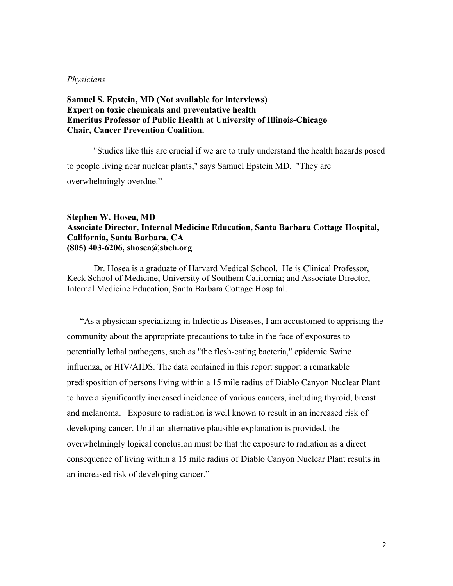#### *Physicians*

# **Samuel S. Epstein, MD (Not available for interviews) Expert on toxic chemicals and preventative health Emeritus Professor of Public Health at University of Illinois-Chicago Chair, Cancer Prevention Coalition.**

"Studies like this are crucial if we are to truly understand the health hazards posed to people living near nuclear plants," says Samuel Epstein MD. "They are overwhelmingly overdue."

## **Stephen W. Hosea, MD Associate Director, Internal Medicine Education, Santa Barbara Cottage Hospital, California, Santa Barbara, CA (805) 403-6206, shosea@sbch.org**

Dr. Hosea is a graduate of Harvard Medical School. He is Clinical Professor, Keck School of Medicine, University of Southern California; and Associate Director, Internal Medicine Education, Santa Barbara Cottage Hospital.

"As a physician specializing in Infectious Diseases, I am accustomed to apprising the community about the appropriate precautions to take in the face of exposures to potentially lethal pathogens, such as "the flesh-eating bacteria," epidemic Swine influenza, or HIV/AIDS. The data contained in this report support a remarkable predisposition of persons living within a 15 mile radius of Diablo Canyon Nuclear Plant to have a significantly increased incidence of various cancers, including thyroid, breast and melanoma. Exposure to radiation is well known to result in an increased risk of developing cancer. Until an alternative plausible explanation is provided, the overwhelmingly logical conclusion must be that the exposure to radiation as a direct consequence of living within a 15 mile radius of Diablo Canyon Nuclear Plant results in an increased risk of developing cancer."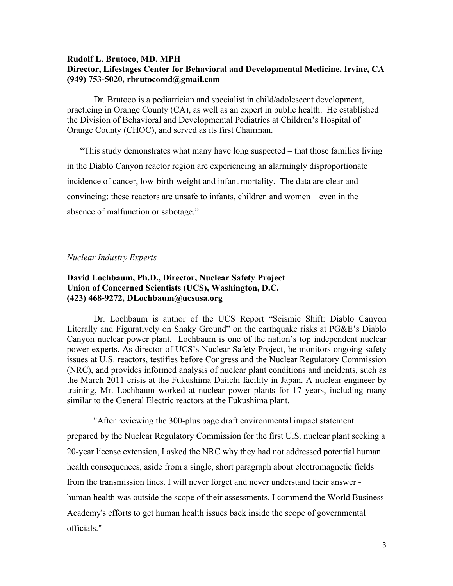# **Rudolf L. Brutoco, MD, MPH Director, Lifestages Center for Behavioral and Developmental Medicine, Irvine, CA (949) 753-5020, rbrutocomd@gmail.com**

Dr. Brutoco is a pediatrician and specialist in child/adolescent development, practicing in Orange County (CA), as well as an expert in public health. He established the Division of Behavioral and Developmental Pediatrics at Children's Hospital of Orange County (CHOC), and served as its first Chairman.

"This study demonstrates what many have long suspected – that those families living in the Diablo Canyon reactor region are experiencing an alarmingly disproportionate incidence of cancer, low-birth-weight and infant mortality. The data are clear and convincing: these reactors are unsafe to infants, children and women – even in the absence of malfunction or sabotage."

#### *Nuclear Industry Experts*

# **David Lochbaum, Ph.D., Director, Nuclear Safety Project Union of Concerned Scientists (UCS), Washington, D.C. (423) 468-9272, DLochbaum@ucsusa.org**

Dr. Lochbaum is author of the UCS Report "Seismic Shift: Diablo Canyon Literally and Figuratively on Shaky Ground" on the earthquake risks at PG&E's Diablo Canyon nuclear power plant. Lochbaum is one of the nation's top independent nuclear power experts. As director of UCS's Nuclear Safety Project, he monitors ongoing safety issues at U.S. reactors, testifies before Congress and the Nuclear Regulatory Commission (NRC), and provides informed analysis of nuclear plant conditions and incidents, such as the March 2011 crisis at the Fukushima Daiichi facility in Japan. A nuclear engineer by training, Mr. Lochbaum worked at nuclear power plants for 17 years, including many similar to the General Electric reactors at the Fukushima plant.

"After reviewing the 300-plus page draft environmental impact statement prepared by the Nuclear Regulatory Commission for the first U.S. nuclear plant seeking a 20-year license extension, I asked the NRC why they had not addressed potential human health consequences, aside from a single, short paragraph about electromagnetic fields from the transmission lines. I will never forget and never understand their answer human health was outside the scope of their assessments. I commend the World Business Academy's efforts to get human health issues back inside the scope of governmental officials."